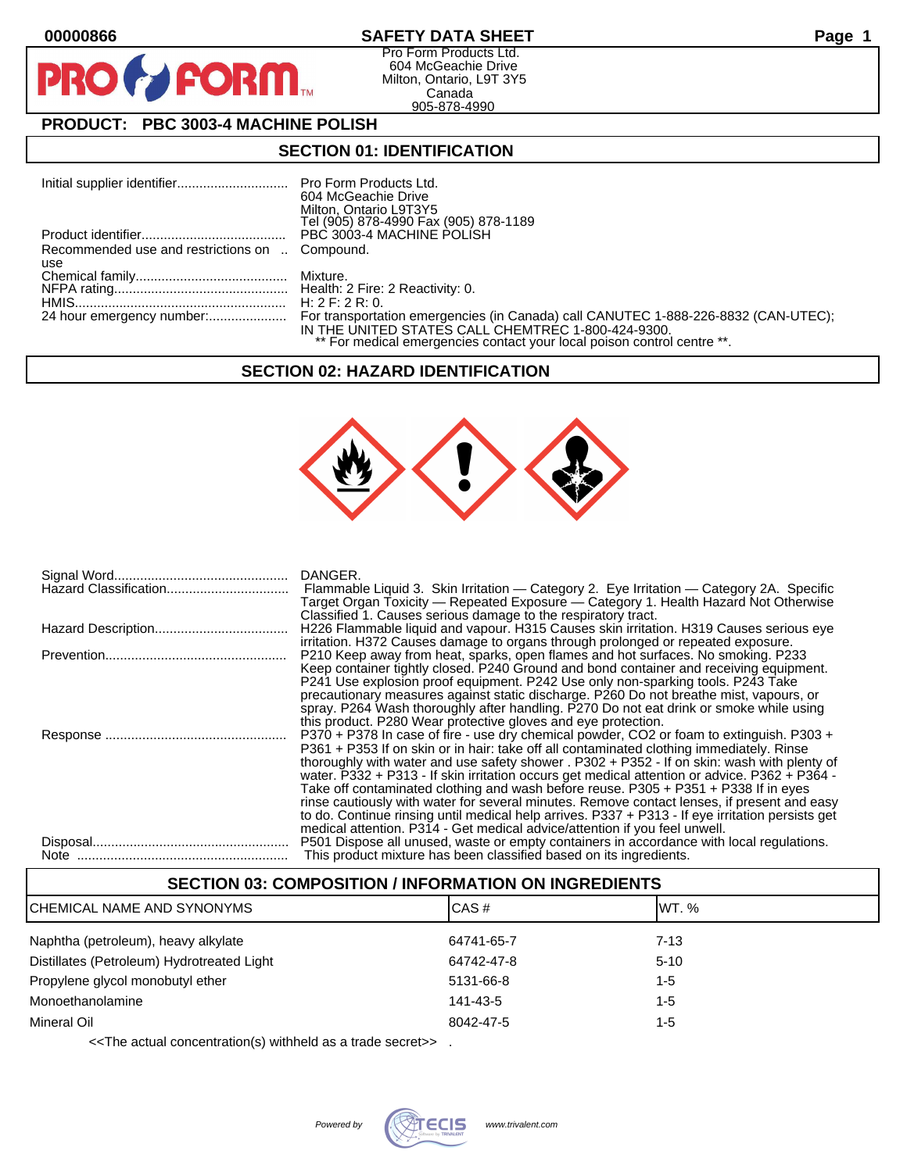**PIR** 

## **00000866 SAFETY DATA SHEET Page 1**

Pro Form Products Ltd. 604 McGeachie Drive Milton, Ontario, L9T 3Y5 Canada 905-878-4990

# **PRODUCT: PBC 3003-4 MACHINE POLISH**

FORM<sub>M</sub>

## **SECTION 01: IDENTIFICATION**

|                                                | 604 McGeachie Drive<br>Milton, Ontario L9T3Y5                                                                                 |
|------------------------------------------------|-------------------------------------------------------------------------------------------------------------------------------|
|                                                | Tel (905) 878-4990 Fax (905) 878-1189                                                                                         |
|                                                |                                                                                                                               |
| Recommended use and restrictions on  Compound. |                                                                                                                               |
| use                                            |                                                                                                                               |
|                                                |                                                                                                                               |
|                                                |                                                                                                                               |
|                                                | H: 2 F: 2 R: 0.                                                                                                               |
|                                                | IN THE UNITED STATES CALL CHEMTREC 1-800-424-9300.<br>** For medical emergencies contact your local poison control centre **. |

### **SECTION 02: HAZARD IDENTIFICATION**



| DANGER.                                                                                                                                                                                 |
|-----------------------------------------------------------------------------------------------------------------------------------------------------------------------------------------|
| Flammable Liquid 3. Skin Irritation — Category 2. Eye Irritation — Category 2A. Specific                                                                                                |
| Target Organ Toxicity — Repeated Exposure — Category 1. Health Hazard Not Otherwise                                                                                                     |
| Classified 1. Causes serious damage to the respiratory tract.                                                                                                                           |
| H226 Flammable liquid and vapour. H315 Causes skin irritation. H319 Causes serious eye<br>irritation. H372 Causes damage to organs through prolonged or repeated exposure.              |
| P210 Keep away from heat, sparks, open flames and hot surfaces. No smoking. P233                                                                                                        |
| Keep container tightly closed. P240 Ground and bond container and receiving equipment.                                                                                                  |
| P241 Use explosion proof equipment. P242 Use only non-sparking tools. P243 Take                                                                                                         |
| precautionary measures against static discharge. P260 Do not breathe mist, vapours, or                                                                                                  |
| spray. P264 Wash thoroughly after handling. P270 Do not eat drink or smoke while using                                                                                                  |
| this product. P280 Wear protective gloves and eye protection.                                                                                                                           |
| P370 + P378 In case of fire - use dry chemical powder, CO2 or foam to extinguish. P303 +                                                                                                |
| P361 + P353 If on skin or in hair: take off all contaminated clothing immediately. Rinse<br>thoroughly with water and use safety shower . P302 + P352 - If on skin: wash with plenty of |
| water. P332 + P313 - If skin irritation occurs get medical attention or advice. P362 + P364 -                                                                                           |
| Take off contaminated clothing and wash before reuse. P305 + P351 + P338 If in eyes                                                                                                     |
| rinse cautiously with water for several minutes. Remove contact lenses, if present and easy                                                                                             |
| to do. Continue rinsing until medical help arrives. P337 + P313 - If eye irritation persists get                                                                                        |
| medical attention. P314 - Get medical advice/attention if you feel unwell.                                                                                                              |
| P501 Dispose all unused, waste or empty containers in accordance with local regulations.                                                                                                |
| This product mixture has been classified based on its ingredients.                                                                                                                      |

| <b>SECTION 03: COMPOSITION / INFORMATION ON INGREDIENTS</b> |            |          |  |
|-------------------------------------------------------------|------------|----------|--|
| CHEMICAL NAME AND SYNONYMS                                  | CAS#       | IWT. %   |  |
| Naphtha (petroleum), heavy alkylate                         | 64741-65-7 | $7 - 13$ |  |
| Distillates (Petroleum) Hydrotreated Light                  | 64742-47-8 | $5-10$   |  |
| Propylene glycol monobutyl ether                            | 5131-66-8  | $1 - 5$  |  |
| Monoethanolamine                                            | 141-43-5   | 1-5      |  |
| Mineral Oil                                                 | 8042-47-5  | $1 - 5$  |  |

<<The actual concentration(s) withheld as a trade secret>> .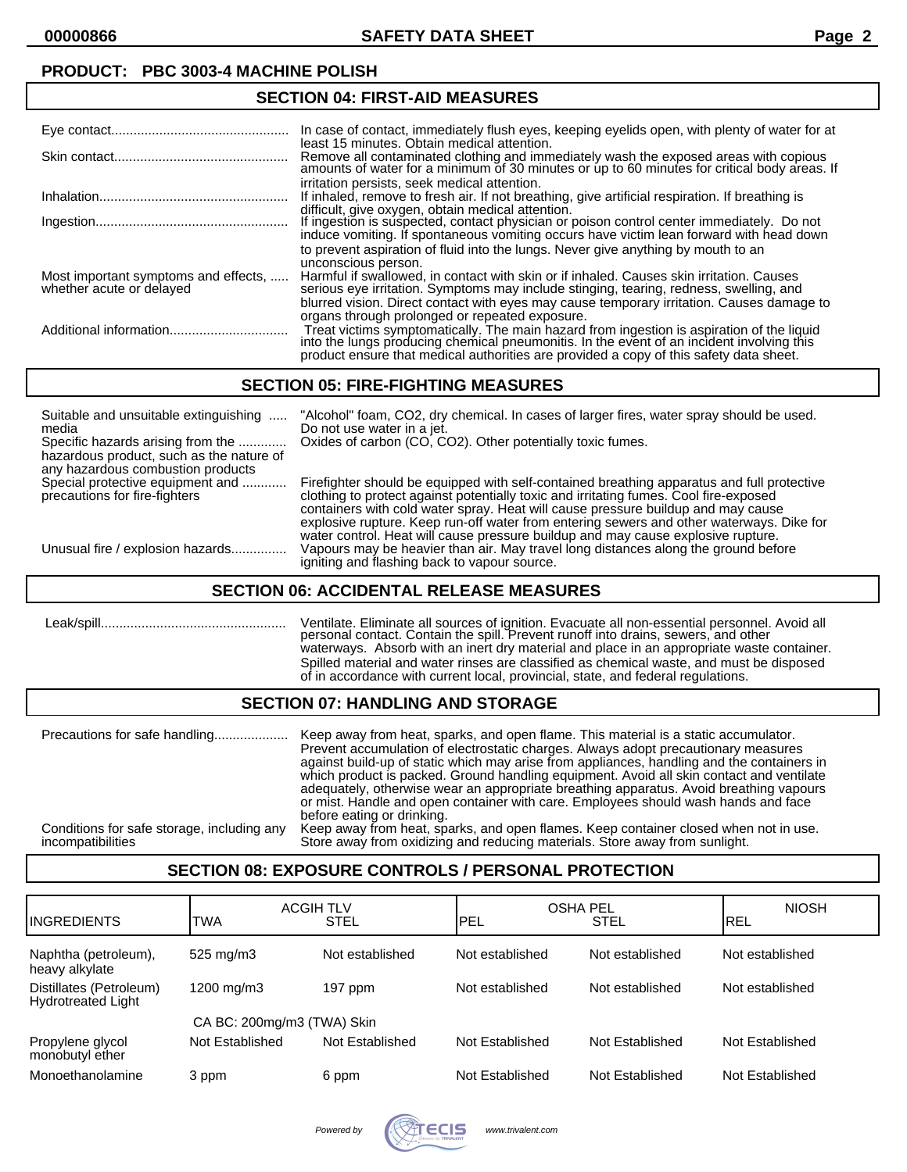### **PRODUCT: PBC 3003-4 MACHINE POLISH**

| <b>SECTION 04: FIRST-AID MEASURES</b>                            |                                                                                                                                                                                                                                                                                  |  |
|------------------------------------------------------------------|----------------------------------------------------------------------------------------------------------------------------------------------------------------------------------------------------------------------------------------------------------------------------------|--|
|                                                                  | In case of contact, immediately flush eyes, keeping eyelids open, with plenty of water for at<br>least 15 minutes. Obtain medical attention.                                                                                                                                     |  |
|                                                                  | Remove all contaminated clothing and immediately wash the exposed areas with copious amounts of water for a minimum of 30 minutes or up to 60 minutes for critical body areas. If                                                                                                |  |
|                                                                  | irritation persists, seek medical attention.<br>If inhaled, remove to fresh air. If not breathing, give artificial respiration. If breathing is                                                                                                                                  |  |
|                                                                  | difficult, give oxygen, obtain medical attention.<br>If ingestion is suspected, contact physician or poison control center immediately. Do not<br>induce vomiting. If spontaneous vomiting occurs have victim lean forward with head down                                        |  |
|                                                                  | to prevent aspiration of fluid into the lungs. Never give anything by mouth to an<br>unconscious person.                                                                                                                                                                         |  |
| Most important symptoms and effects,<br>whether acute or delayed | Harmful if swallowed, in contact with skin or if inhaled. Causes skin irritation. Causes<br>serious eye irritation. Symptoms may include stinging, tearing, redness, swelling, and                                                                                               |  |
|                                                                  | blurred vision. Direct contact with eyes may cause temporary irritation. Causes damage to<br>organs through prolonged or repeated exposure.                                                                                                                                      |  |
|                                                                  | Treat victims symptomatically. The main hazard from ingestion is aspiration of the liquid<br>into the lungs producing chemical pneumonitis. In the event of an incident involving this<br>product ensure that medical authorities are provided a copy of this safety data sheet. |  |

## **SECTION 05: FIRE-FIGHTING MEASURES**

| Suitable and unsuitable extinguishing<br>media<br>Specific hazards arising from the<br>hazardous product, such as the nature of<br>any hazardous combustion products | "Alcohol" foam, CO2, dry chemical. In cases of larger fires, water spray should be used.<br>Do not use water in a jet.<br>Oxides of carbon (CO, CO2). Other potentially toxic fumes.                                                                                                                                                                                                                                                                    |
|----------------------------------------------------------------------------------------------------------------------------------------------------------------------|---------------------------------------------------------------------------------------------------------------------------------------------------------------------------------------------------------------------------------------------------------------------------------------------------------------------------------------------------------------------------------------------------------------------------------------------------------|
| Special protective equipment and<br>precautions for fire-fighters                                                                                                    | Firefighter should be equipped with self-contained breathing apparatus and full protective<br>clothing to protect against potentially toxic and irritating fumes. Cool fire-exposed<br>containers with cold water spray. Heat will cause pressure buildup and may cause<br>explosive rupture. Keep run-off water from entering sewers and other waterways. Dike for<br>water control. Heat will cause pressure buildup and may cause explosive rupture. |
| Unusual fire / explosion hazards                                                                                                                                     | Vapours may be heavier than air. May travel long distances along the ground before<br>igniting and flashing back to vapour source.                                                                                                                                                                                                                                                                                                                      |

### **SECTION 06: ACCIDENTAL RELEASE MEASURES**

| $Leak/s$ pill | Ventilate. Eliminate all sources of ignition. Evacuate all non-essential personnel. Avoid all<br>personal contact. Contain the spill. Prevent runoff into drains, sewers, and other<br>waterways. Absorb with an inert dry material and place in an appropriate waste container. |
|---------------|----------------------------------------------------------------------------------------------------------------------------------------------------------------------------------------------------------------------------------------------------------------------------------|
|               | Spilled material and water rinses are classified as chemical waste, and must be disposed<br>of in accordance with current local, provincial, state, and federal regulations.                                                                                                     |

# **SECTION 07: HANDLING AND STORAGE**

| Precautions for safe handling              | Keep away from heat, sparks, and open flame. This material is a static accumulator.<br>Prevent accumulation of electrostatic charges. Always adopt precautionary measures<br>against build-up of static which may arise from appliances, handling and the containers in<br>which product is packed. Ground handling equipment. Avoid all skin contact and ventilate<br>adequately, otherwise wear an appropriate breathing apparatus. Avoid breathing vapours<br>or mist. Handle and open container with care. Employees should wash hands and face<br>before eating or drinking. |
|--------------------------------------------|-----------------------------------------------------------------------------------------------------------------------------------------------------------------------------------------------------------------------------------------------------------------------------------------------------------------------------------------------------------------------------------------------------------------------------------------------------------------------------------------------------------------------------------------------------------------------------------|
| Conditions for safe storage, including any | Keep away from heat, sparks, and open flames. Keep container closed when not in use.                                                                                                                                                                                                                                                                                                                                                                                                                                                                                              |
| incompatibilities                          | Store away from oxidizing and reducing materials. Store away from sunlight.                                                                                                                                                                                                                                                                                                                                                                                                                                                                                                       |

### **SECTION 08: EXPOSURE CONTROLS / PERSONAL PROTECTION**

| <b>I</b> INGREDIENTS                                 | <b>TWA</b>                 | <b>ACGIH TLV</b><br>STEL | <b>OSHA PEL</b><br>PEL | <b>STEL</b>     | <b>NIOSH</b><br>IREL |
|------------------------------------------------------|----------------------------|--------------------------|------------------------|-----------------|----------------------|
| Naphtha (petroleum),<br>heavy alkylate               | 525 mg/m3                  | Not established          | Not established        | Not established | Not established      |
| Distillates (Petroleum)<br><b>Hydrotreated Light</b> | 1200 mg/m3                 | 197 ppm                  | Not established        | Not established | Not established      |
|                                                      | CA BC: 200mg/m3 (TWA) Skin |                          |                        |                 |                      |
| Propylene glycol<br>monobutyl ether                  | Not Established            | Not Established          | Not Established        | Not Established | Not Established      |
| Monoethanolamine                                     | 3 ppm                      | 6 ppm                    | Not Established        | Not Established | Not Established      |

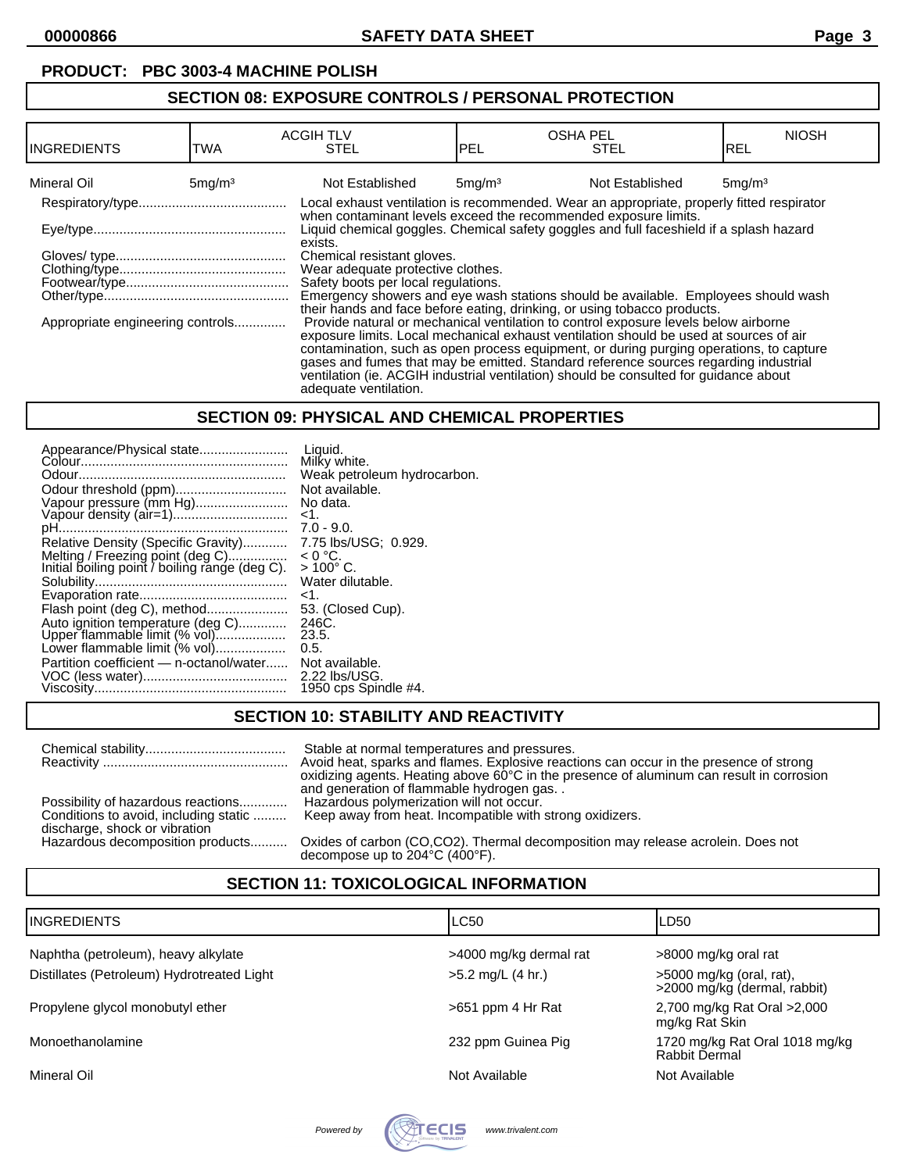### **PRODUCT: PBC 3003-4 MACHINE POLISH**

### **SECTION 08: EXPOSURE CONTROLS / PERSONAL PROTECTION**

| IINGREDIENTS                                                                                                                                                                                                                                                                                                                                                                                                                                                                                                                                                                                       | TWA                             | <b>ACGIH TLV</b><br><b>STEL</b>                                                                                                                                       | <b>OSHA PEL</b><br><b>PEL</b> | <b>STEL</b>     | <b>NIOSH</b><br>IREL |
|----------------------------------------------------------------------------------------------------------------------------------------------------------------------------------------------------------------------------------------------------------------------------------------------------------------------------------------------------------------------------------------------------------------------------------------------------------------------------------------------------------------------------------------------------------------------------------------------------|---------------------------------|-----------------------------------------------------------------------------------------------------------------------------------------------------------------------|-------------------------------|-----------------|----------------------|
| Mineral Oil                                                                                                                                                                                                                                                                                                                                                                                                                                                                                                                                                                                        | 5 <sub>mq</sub> /m <sup>3</sup> | Not Established                                                                                                                                                       | 5mg/m <sup>3</sup>            | Not Established | 5mg/m <sup>3</sup>   |
|                                                                                                                                                                                                                                                                                                                                                                                                                                                                                                                                                                                                    |                                 | Local exhaust ventilation is recommended. Wear an appropriate, properly fitted respirator                                                                             |                               |                 |                      |
|                                                                                                                                                                                                                                                                                                                                                                                                                                                                                                                                                                                                    |                                 | when contaminant levels exceed the recommended exposure limits.<br>Liquid chemical goggles. Chemical safety goggles and full faceshield if a splash hazard<br>exists. |                               |                 |                      |
|                                                                                                                                                                                                                                                                                                                                                                                                                                                                                                                                                                                                    |                                 | Chemical resistant gloves.                                                                                                                                            |                               |                 |                      |
|                                                                                                                                                                                                                                                                                                                                                                                                                                                                                                                                                                                                    |                                 | Wear adequate protective clothes.                                                                                                                                     |                               |                 |                      |
|                                                                                                                                                                                                                                                                                                                                                                                                                                                                                                                                                                                                    |                                 | Safety boots per local regulations.                                                                                                                                   |                               |                 |                      |
|                                                                                                                                                                                                                                                                                                                                                                                                                                                                                                                                                                                                    |                                 | Emergency showers and eye wash stations should be available. Employees should wash                                                                                    |                               |                 |                      |
| their hands and face before eating, drinking, or using tobacco products.<br>Provide natural or mechanical ventilation to control exposure levels below airborne<br>Appropriate engineering controls<br>exposure limits. Local mechanical exhaust ventilation should be used at sources of air<br>contamination, such as open process equipment, or during purging operations, to capture<br>gases and fumes that may be emitted. Standard reference sources regarding industrial<br>ventilation (ie. ACGIH industrial ventilation) should be consulted for quidance about<br>adequate ventilation. |                                 |                                                                                                                                                                       |                               |                 |                      |

#### **SECTION 09: PHYSICAL AND CHEMICAL PROPERTIES**

| Appearance/Physical state                                                          | Liauid.<br>Milky white.          |
|------------------------------------------------------------------------------------|----------------------------------|
|                                                                                    | Weak petroleum hydrocarbon.      |
| Odour threshold (ppm)                                                              | Not available.                   |
| Vapour pressure (mm Hg)                                                            | No data.                         |
|                                                                                    | $<$ 1.<br>$7.0 - 9.0.$           |
|                                                                                    |                                  |
| Relative Density (Specific Gravity)                                                | 7.75 lbs/USG: 0.929.             |
| Melting / Freezing point (deg C)<br>Initial boiling point / boiling range (deg C). | $< 0 °C$ .<br>$> 100^{\circ}$ C. |
|                                                                                    | Water dilutable.                 |
|                                                                                    | ۔1۔                              |
| Flash point (deg C), method                                                        | 53. (Closed Cup).                |
| Auto ignition temperature (deg C)<br>Upper flammable limit (% vol)                 | 246C.                            |
|                                                                                    | 23.5.                            |
| Lower flammable limit (% vol)                                                      | 0.5.                             |
| Partition coefficient - n-octanol/water                                            | Not available.                   |
|                                                                                    | $2.22$ lbs/USG.                  |
|                                                                                    | 1950 cps Spindle #4.             |

## **SECTION 10: STABILITY AND REACTIVITY**

Chemical stability...................................... Stable at normal temperatures and pressures. Reactivity .................................................. Avoid heat, sparks and flames. Explosive reactions can occur in the presence of strong oxidizing agents. Heating above 60°C in the presence of aluminum can result in corrosion and generation of flammable hydrogen gas. .<br>Hazardous polymerization will not occur. Possibility of hazardous reactions............. Conditions to avoid, including static ......... Keep away from heat. Incompatible with strong oxidizers.

discharge, shock or vibration

Hazardous decomposition products.......... Oxides of carbon (CO,CO2). Thermal decomposition may release acrolein. Does not decompose up to 204°C (400°F).

## **SECTION 11: TOXICOLOGICAL INFORMATION**

| <b>INGREDIENTS</b>                         | LC50                   | LD50                                                       |
|--------------------------------------------|------------------------|------------------------------------------------------------|
| Naphtha (petroleum), heavy alkylate        | >4000 mg/kg dermal rat | >8000 mg/kg oral rat                                       |
| Distillates (Petroleum) Hydrotreated Light | >5.2 mg/L (4 hr.)      | $>5000$ mg/kg (oral, rat),<br>>2000 mg/kg (dermal, rabbit) |
| Propylene glycol monobutyl ether           | $>651$ ppm 4 Hr Rat    | 2,700 mg/kg Rat Oral >2,000<br>mg/kg Rat Skin              |
| Monoethanolamine                           | 232 ppm Guinea Pig     | 1720 mg/kg Rat Oral 1018 mg/kg<br>Rabbit Dermal            |
| Mineral Oil                                | Not Available          | Not Available                                              |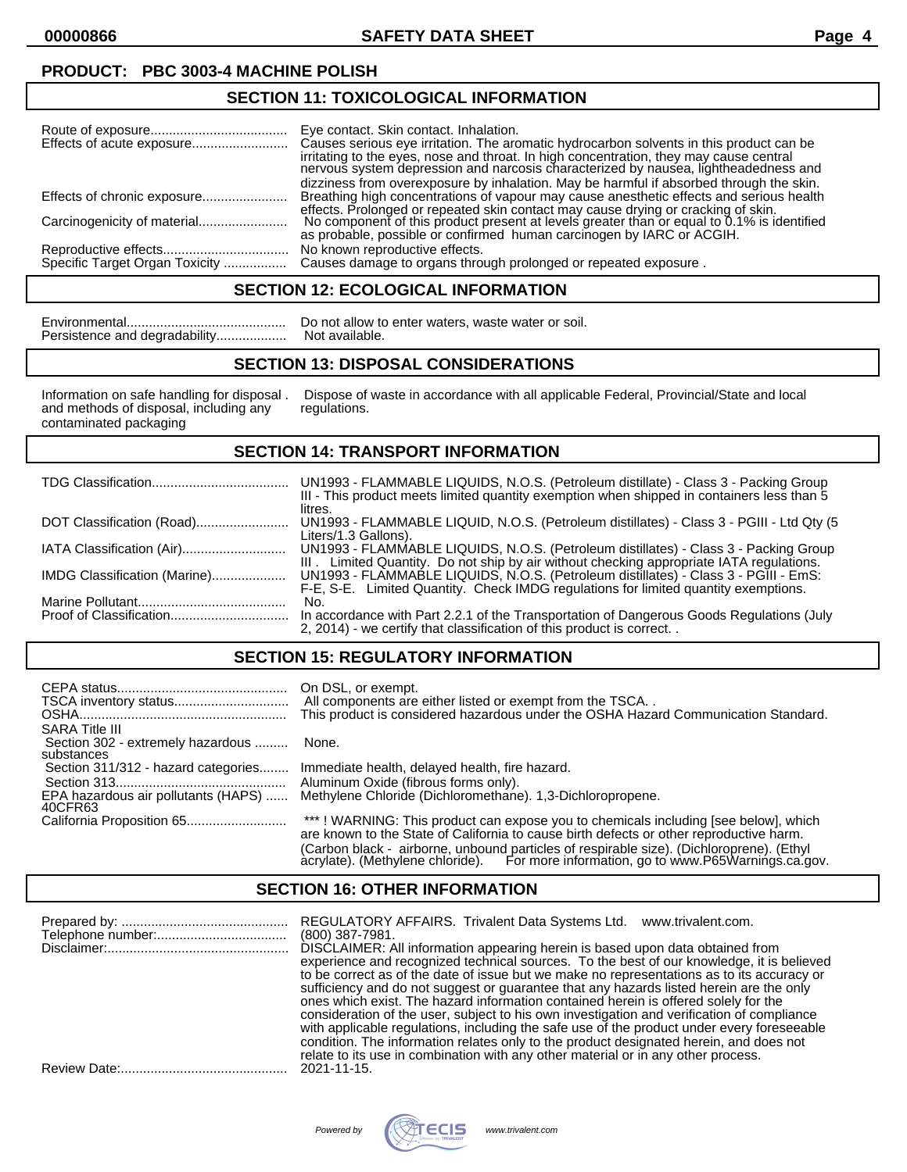**00000866 SAFETY DATA SHEET Page 4**

## **PRODUCT: PBC 3003-4 MACHINE POLISH**

## **SECTION 11: TOXICOLOGICAL INFORMATION**

| Eye contact. Skin contact. Inhalation.<br>Causes serious eye irritation. The aromatic hydrocarbon solvents in this product can be<br>irritating to the eyes, nose and throat. In high concentration, they may cause central<br>nervous system depression and narcosis characterized by nausea, lightheadedness and<br>dizziness from overexposure by inhalation. May be harmful if absorbed through the skin. |
|---------------------------------------------------------------------------------------------------------------------------------------------------------------------------------------------------------------------------------------------------------------------------------------------------------------------------------------------------------------------------------------------------------------|
| Breathing high concentrations of vapour may cause anesthetic effects and serious health                                                                                                                                                                                                                                                                                                                       |
| effects. Prolonged or repeated skin contact may cause drying or cracking of skin.<br>No component of this product present at levels greater than or equal to 0.1% is identified<br>as probable, possible or confirmed human carcinogen by IARC or ACGIH.                                                                                                                                                      |
| No known reproductive effects.<br>Specific Target Organ Toxicity  Causes damage to organs through prolonged or repeated exposure.                                                                                                                                                                                                                                                                             |

### **SECTION 12: ECOLOGICAL INFORMATION**

| Persistence and degradability |  |  |  |  |
|-------------------------------|--|--|--|--|

Environmental........................................... Do not allow to enter waters, waste water or soil. Persistence and degradability................... Not available.

### **SECTION 13: DISPOSAL CONSIDERATIONS**

and methods of disposal, including any regulations. contaminated packaging

Information on safe handling for disposal . Dispose of waste in accordance with all applicable Federal, Provincial/State and local

#### **SECTION 14: TRANSPORT INFORMATION**

|                              | UN1993 - FLAMMABLE LIQUIDS, N.O.S. (Petroleum distillate) - Class 3 - Packing Group<br>III - This product meets limited quantity exemption when shipped in containers less than 5<br>litres. |
|------------------------------|----------------------------------------------------------------------------------------------------------------------------------------------------------------------------------------------|
| DOT Classification (Road)    | UN1993 - FLAMMABLE LIQUID, N.O.S. (Petroleum distillates) - Class 3 - PGIII - Ltd Qty (5<br>Liters/1.3 Gallons).                                                                             |
|                              | UN1993 - FLAMMABLE LIQUIDS, N.O.S. (Petroleum distillates) - Class 3 - Packing Group<br>III. Limited Quantity. Do not ship by air without checking appropriate IATA regulations.             |
| IMDG Classification (Marine) | UN1993 - FLAMMABLE LIQUIDS, N.O.S. (Petroleum distillates) - Class 3 - PGIII - EmS:<br>F-E, S-E. Limited Quantity. Check IMDG regulations for limited quantity exemptions.                   |
|                              | No.                                                                                                                                                                                          |
|                              | In accordance with Part 2.2.1 of the Transportation of Dangerous Goods Regulations (July<br>2, 2014) - we certify that classification of this product is correct. .                          |

### **SECTION 15: REGULATORY INFORMATION**

| <b>SARA Title III</b>                           | On DSL, or exempt.<br>All components are either listed or exempt from the TSCA<br>This product is considered hazardous under the OSHA Hazard Communication Standard.           |
|-------------------------------------------------|--------------------------------------------------------------------------------------------------------------------------------------------------------------------------------|
| Section 302 - extremely hazardous<br>substances | None.                                                                                                                                                                          |
| Section 311/312 - hazard categories             | Immediate health, delayed health, fire hazard.                                                                                                                                 |
|                                                 | Aluminum Oxide (fibrous forms only).                                                                                                                                           |
| EPA hazardous air pollutants (HAPS)<br>40CFR63  | Methylene Chloride (Dichloromethane). 1,3-Dichloropropene.                                                                                                                     |
| California Proposition 65                       | ***! WARNING: This product can expose you to chemicals including [see below], which<br>are known to the State of California to cause birth defects or other reproductive harm. |
|                                                 | (Carbon black - airborne, unbound particles of respirable size). (Dichloroprene). (Ethyl                                                                                       |

#### **SECTION 16: OTHER INFORMATION**

| REGULATORY AFFAIRS. Trivalent Data Systems Ltd.<br>www.trivalent.com.<br>$(800)$ 387-7981.                                                                                                                                                                                                                                                                                 |
|----------------------------------------------------------------------------------------------------------------------------------------------------------------------------------------------------------------------------------------------------------------------------------------------------------------------------------------------------------------------------|
| DISCLAIMER: All information appearing herein is based upon data obtained from<br>experience and recognized technical sources. To the best of our knowledge, it is believed<br>to be correct as of the date of issue but we make no representations as to its accuracy or                                                                                                   |
| sufficiency and do not suggest or guarantee that any hazards listed herein are the only<br>ones which exist. The hazard information contained herein is offered solely for the<br>consideration of the user, subject to his own investigation and verification of compliance<br>with applicable regulations, including the safe use of the product under every foreseeable |
| condition. The information relates only to the product designated herein, and does not<br>relate to its use in combination with any other material or in any other process.<br>2021-11-15.                                                                                                                                                                                 |



acrylate). (Methylene chloride). For more information, go to www.P65Warnings.ca.gov.